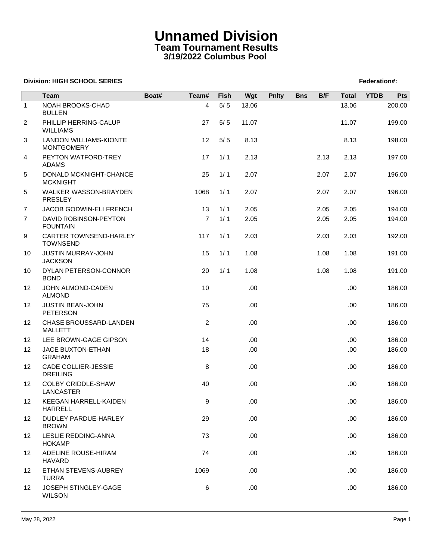### **Unnamed Division Team Tournament Results 3/19/2022 Columbus Pool**

### **Division: HIGH SCHOOL SERIES** Federation And The SCHOOL SERIES Federation And The SCHOOL SERIES Federation And The SCHOOL SERIES FEDERATION AND THE SCHOOL SERIES FEDERATION AND THE SCHOOL SERIES FEDERATION AND THE SCHOOL

|                   | <b>Team</b>                                        | Boat# | Team#          | Fish  | Wgt   | <b>Pnlty</b> | <b>Bns</b> | B/F  | <b>Total</b> | <b>YTDB</b> | Pts    |
|-------------------|----------------------------------------------------|-------|----------------|-------|-------|--------------|------------|------|--------------|-------------|--------|
| $\mathbf{1}$      | NOAH BROOKS-CHAD<br><b>BULLEN</b>                  |       | 4              | $5/5$ | 13.06 |              |            |      | 13.06        |             | 200.00 |
| $\overline{2}$    | PHILLIP HERRING-CALUP<br><b>WILLIAMS</b>           |       | 27             | $5/5$ | 11.07 |              |            |      | 11.07        |             | 199.00 |
| 3                 | <b>LANDON WILLIAMS-KIONTE</b><br><b>MONTGOMERY</b> |       | 12             | $5/5$ | 8.13  |              |            |      | 8.13         |             | 198.00 |
| 4                 | PEYTON WATFORD-TREY<br><b>ADAMS</b>                |       | 17             | 1/1   | 2.13  |              |            | 2.13 | 2.13         |             | 197.00 |
| 5                 | DONALD MCKNIGHT-CHANCE<br><b>MCKNIGHT</b>          |       | 25             | 1/1   | 2.07  |              |            | 2.07 | 2.07         |             | 196.00 |
| 5                 | WALKER WASSON-BRAYDEN<br><b>PRESLEY</b>            |       | 1068           | 1/1   | 2.07  |              |            | 2.07 | 2.07         |             | 196.00 |
| $\overline{7}$    | JACOB GODWIN-ELI FRENCH                            |       | 13             | 1/1   | 2.05  |              |            | 2.05 | 2.05         |             | 194.00 |
| $\overline{7}$    | DAVID ROBINSON-PEYTON<br><b>FOUNTAIN</b>           |       | $\overline{7}$ | 1/1   | 2.05  |              |            | 2.05 | 2.05         |             | 194.00 |
| 9                 | CARTER TOWNSEND-HARLEY<br><b>TOWNSEND</b>          |       | 117            | 1/1   | 2.03  |              |            | 2.03 | 2.03         |             | 192.00 |
| 10                | JUSTIN MURRAY-JOHN<br><b>JACKSON</b>               |       | 15             | 1/1   | 1.08  |              |            | 1.08 | 1.08         |             | 191.00 |
| 10                | DYLAN PETERSON-CONNOR<br><b>BOND</b>               |       | 20             | 1/1   | 1.08  |              |            | 1.08 | 1.08         |             | 191.00 |
| 12                | JOHN ALMOND-CADEN<br><b>ALMOND</b>                 |       | 10             |       | .00   |              |            |      | .00.         |             | 186.00 |
| 12                | <b>JUSTIN BEAN-JOHN</b><br><b>PETERSON</b>         |       | 75             |       | .00.  |              |            |      | .00.         |             | 186.00 |
| 12                | CHASE BROUSSARD-LANDEN<br><b>MALLETT</b>           |       | $\overline{2}$ |       | .00   |              |            |      | .00.         |             | 186.00 |
| $12 \overline{ }$ | LEE BROWN-GAGE GIPSON                              |       | 14             |       | .00   |              |            |      | .00.         |             | 186.00 |
| 12                | JACE BUXTON-ETHAN<br><b>GRAHAM</b>                 |       | 18             |       | .00.  |              |            |      | .00.         |             | 186.00 |
| 12                | CADE COLLIER-JESSIE<br><b>DREILING</b>             |       | 8              |       | .00   |              |            |      | .00          |             | 186.00 |
| 12                | <b>COLBY CRIDDLE-SHAW</b><br>LANCASTER             |       | 40             |       | .00   |              |            |      | .00.         |             | 186.00 |
| 12 <sup>2</sup>   | KEEGAN HARRELL-KAIDEN<br><b>HARRELL</b>            |       | 9              |       | .00   |              |            |      | .00          |             | 186.00 |
| 12                | DUDLEY PARDUE-HARLEY<br><b>BROWN</b>               |       | 29             |       | .00   |              |            |      | .00.         |             | 186.00 |
| 12                | LESLIE REDDING-ANNA<br><b>HOKAMP</b>               |       | 73             |       | .00   |              |            |      | .00.         |             | 186.00 |
| $12 \overline{ }$ | ADELINE ROUSE-HIRAM<br><b>HAVARD</b>               |       | 74             |       | .00   |              |            |      | .00.         |             | 186.00 |
| $12 \overline{ }$ | ETHAN STEVENS-AUBREY<br><b>TURRA</b>               |       | 1069           |       | .00   |              |            |      | .00.         |             | 186.00 |
| 12                | JOSEPH STINGLEY-GAGE<br><b>WILSON</b>              |       | 6              |       | .00   |              |            |      | .00.         |             | 186.00 |
|                   |                                                    |       |                |       |       |              |            |      |              |             |        |